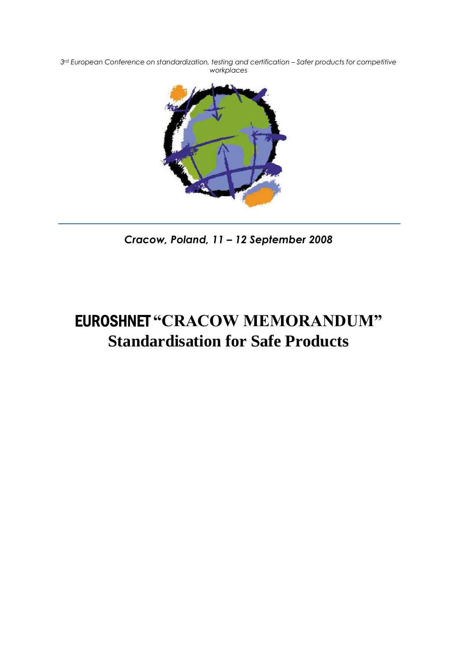$3<sup>rd</sup>$  European Conference on standardization, testing and certification - Safer products for competitive *workplaces*



*Cracow, Poland, 11 – 12 September 2008*

# EUROSHNET **"CRACOW MEMORANDUM" Standardisation for Safe Products**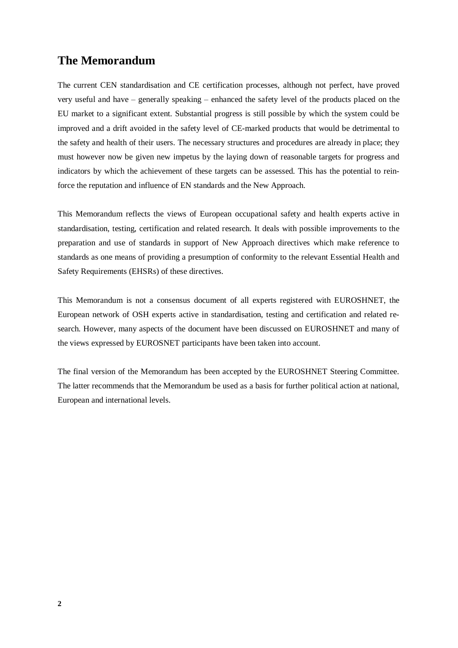## **The Memorandum**

The current CEN standardisation and CE certification processes, although not perfect, have proved very useful and have – generally speaking – enhanced the safety level of the products placed on the EU market to a significant extent. Substantial progress is still possible by which the system could be improved and a drift avoided in the safety level of CE-marked products that would be detrimental to the safety and health of their users. The necessary structures and procedures are already in place; they must however now be given new impetus by the laying down of reasonable targets for progress and indicators by which the achievement of these targets can be assessed. This has the potential to reinforce the reputation and influence of EN standards and the New Approach.

This Memorandum reflects the views of European occupational safety and health experts active in standardisation, testing, certification and related research. It deals with possible improvements to the preparation and use of standards in support of New Approach directives which make reference to standards as one means of providing a presumption of conformity to the relevant Essential Health and Safety Requirements (EHSRs) of these directives.

This Memorandum is not a consensus document of all experts registered with EUROSHNET, the European network of OSH experts active in standardisation, testing and certification and related research. However, many aspects of the document have been discussed on EUROSHNET and many of the views expressed by EUROSNET participants have been taken into account.

The final version of the Memorandum has been accepted by the EUROSHNET Steering Committee. The latter recommends that the Memorandum be used as a basis for further political action at national, European and international levels.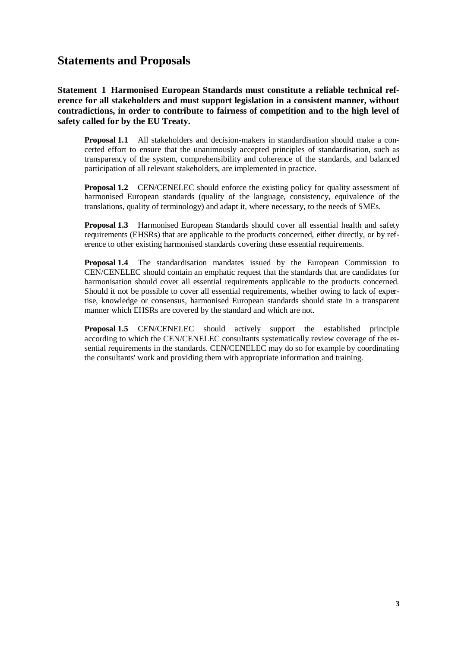## **Statements and Proposals**

**Statement 1 Harmonised European Standards must constitute a reliable technical reference for all stakeholders and must support legislation in a consistent manner, without contradictions, in order to contribute to fairness of competition and to the high level of safety called for by the EU Treaty.**

**Proposal 1.1** All stakeholders and decision-makers in standardisation should make a concerted effort to ensure that the unanimously accepted principles of standardisation, such as transparency of the system, comprehensibility and coherence of the standards, and balanced participation of all relevant stakeholders, are implemented in practice.

**Proposal 1.2** CEN/CENELEC should enforce the existing policy for quality assessment of harmonised European standards (quality of the language, consistency, equivalence of the translations, quality of terminology) and adapt it, where necessary, to the needs of SMEs.

**Proposal 1.3** Harmonised European Standards should cover all essential health and safety requirements (EHSRs) that are applicable to the products concerned, either directly, or by reference to other existing harmonised standards covering these essential requirements.

**Proposal 1.4** The standardisation mandates issued by the European Commission to CEN/CENELEC should contain an emphatic request that the standards that are candidates for harmonisation should cover all essential requirements applicable to the products concerned. Should it not be possible to cover all essential requirements, whether owing to lack of expertise, knowledge or consensus, harmonised European standards should state in a transparent manner which EHSRs are covered by the standard and which are not.

**Proposal 1.5** CEN/CENELEC should actively support the established principle according to which the CEN/CENELEC consultants systematically review coverage of the essential requirements in the standards. CEN/CENELEC may do so for example by coordinating the consultants' work and providing them with appropriate information and training.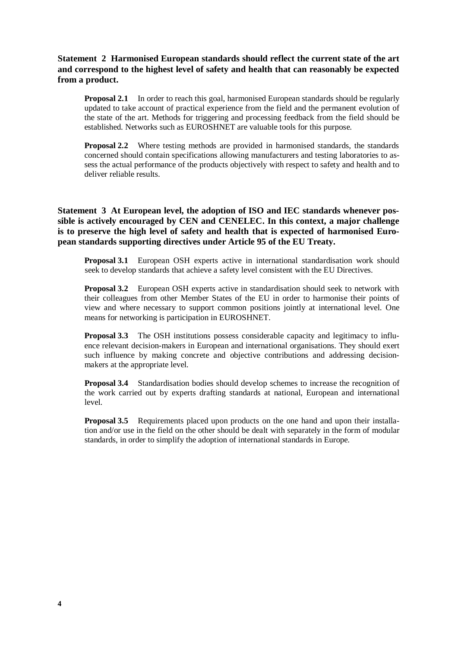### **Statement 2 Harmonised European standards should reflect the current state of the art and correspond to the highest level of safety and health that can reasonably be expected from a product.**

**Proposal 2.1** In order to reach this goal, harmonised European standards should be regularly updated to take account of practical experience from the field and the permanent evolution of the state of the art. Methods for triggering and processing feedback from the field should be established. Networks such as EUROSHNET are valuable tools for this purpose.

**Proposal 2.2** Where testing methods are provided in harmonised standards, the standards concerned should contain specifications allowing manufacturers and testing laboratories to assess the actual performance of the products objectively with respect to safety and health and to deliver reliable results.

**Statement 3 At European level, the adoption of ISO and IEC standards whenever possible is actively encouraged by CEN and CENELEC. In this context, a major challenge is to preserve the high level of safety and health that is expected of harmonised European standards supporting directives under Article 95 of the EU Treaty.**

**Proposal 3.1** European OSH experts active in international standardisation work should seek to develop standards that achieve a safety level consistent with the EU Directives.

**Proposal 3.2** European OSH experts active in standardisation should seek to network with their colleagues from other Member States of the EU in order to harmonise their points of view and where necessary to support common positions jointly at international level. One means for networking is participation in EUROSHNET.

**Proposal 3.3** The OSH institutions possess considerable capacity and legitimacy to influence relevant decision-makers in European and international organisations. They should exert such influence by making concrete and objective contributions and addressing decisionmakers at the appropriate level.

**Proposal 3.4** Standardisation bodies should develop schemes to increase the recognition of the work carried out by experts drafting standards at national, European and international level.

**Proposal 3.5** Requirements placed upon products on the one hand and upon their installation and/or use in the field on the other should be dealt with separately in the form of modular standards, in order to simplify the adoption of international standards in Europe.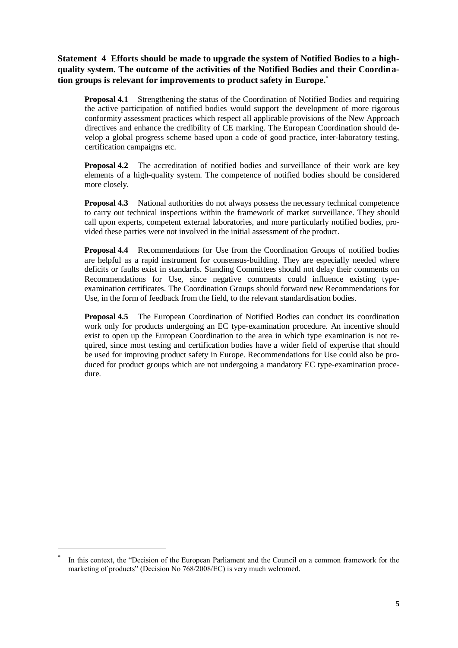**Statement 4 Efforts should be made to upgrade the system of Notified Bodies to a highquality system. The outcome of the activities of the Notified Bodies and their Coordination groups is relevant for improvements to product safety in Europe.**

**Proposal 4.1** Strengthening the status of the Coordination of Notified Bodies and requiring the active participation of notified bodies would support the development of more rigorous conformity assessment practices which respect all applicable provisions of the New Approach directives and enhance the credibility of CE marking. The European Coordination should develop a global progress scheme based upon a code of good practice, inter-laboratory testing, certification campaigns etc.

**Proposal 4.2** The accreditation of notified bodies and surveillance of their work are key elements of a high-quality system. The competence of notified bodies should be considered more closely.

**Proposal 4.3** National authorities do not always possess the necessary technical competence to carry out technical inspections within the framework of market surveillance. They should call upon experts, competent external laboratories, and more particularly notified bodies, provided these parties were not involved in the initial assessment of the product.

**Proposal 4.4** Recommendations for Use from the Coordination Groups of notified bodies are helpful as a rapid instrument for consensus-building. They are especially needed where deficits or faults exist in standards. Standing Committees should not delay their comments on Recommendations for Use, since negative comments could influence existing typeexamination certificates. The Coordination Groups should forward new Recommendations for Use, in the form of feedback from the field, to the relevant standardisation bodies.

**Proposal 4.5** The European Coordination of Notified Bodies can conduct its coordination work only for products undergoing an EC type-examination procedure. An incentive should exist to open up the European Coordination to the area in which type examination is not required, since most testing and certification bodies have a wider field of expertise that should be used for improving product safety in Europe. Recommendations for Use could also be produced for product groups which are not undergoing a mandatory EC type-examination procedure.

<span id="page-4-0"></span><u>.</u>

<sup>\*</sup> In this context, the "Decision of the European Parliament and the Council on a common framework for the marketing of products" (Decision No 768/2008/EC) is very much welcomed.